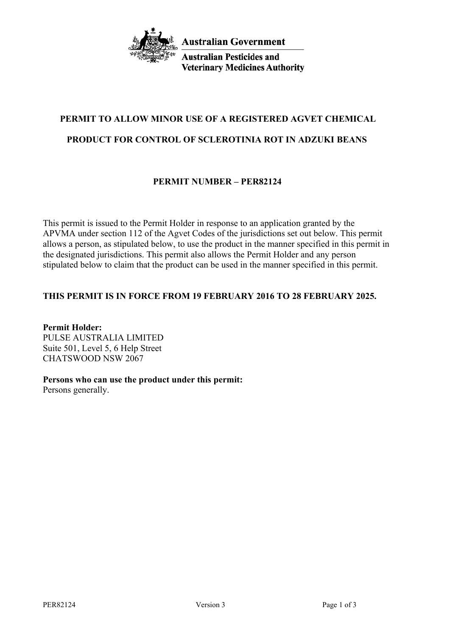

**Australian Pesticides and Veterinary Medicines Authority** 

# **PERMIT TO ALLOW MINOR USE OF A REGISTERED AGVET CHEMICAL**

# **PRODUCT FOR CONTROL OF SCLEROTINIA ROT IN ADZUKI BEANS**

# **PERMIT NUMBER – PER82124**

This permit is issued to the Permit Holder in response to an application granted by the APVMA under section 112 of the Agvet Codes of the jurisdictions set out below. This permit allows a person, as stipulated below, to use the product in the manner specified in this permit in the designated jurisdictions. This permit also allows the Permit Holder and any person stipulated below to claim that the product can be used in the manner specified in this permit.

# **THIS PERMIT IS IN FORCE FROM 19 FEBRUARY 2016 TO 28 FEBRUARY 2025.**

**Permit Holder:** PULSE AUSTRALIA LIMITED Suite 501, Level 5, 6 Help Street CHATSWOOD NSW 2067

# **Persons who can use the product under this permit:**

Persons generally.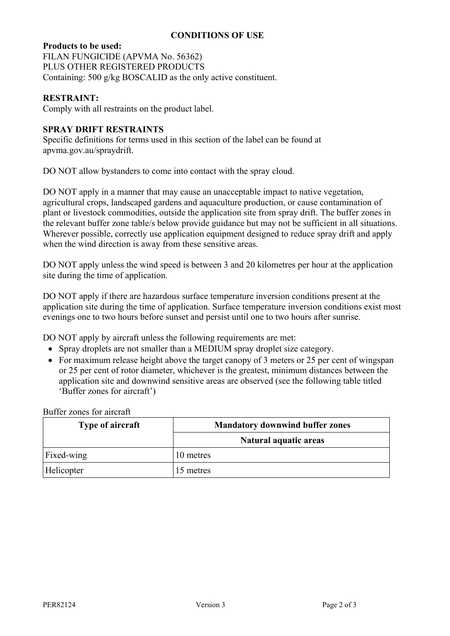#### **CONDITIONS OF USE**

#### **Products to be used:**

FILAN FUNGICIDE (APVMA No. 56362) PLUS OTHER REGISTERED PRODUCTS Containing: 500 g/kg BOSCALID as the only active constituent.

#### **RESTRAINT:**

Comply with all restraints on the product label.

#### **SPRAY DRIFT RESTRAINTS**

Specific definitions for terms used in this section of the label can be found at apvma.gov.au/spraydrift.

DO NOT allow bystanders to come into contact with the spray cloud.

DO NOT apply in a manner that may cause an unacceptable impact to native vegetation, agricultural crops, landscaped gardens and aquaculture production, or cause contamination of plant or livestock commodities, outside the application site from spray drift. The buffer zones in the relevant buffer zone table/s below provide guidance but may not be sufficient in all situations. Wherever possible, correctly use application equipment designed to reduce spray drift and apply when the wind direction is away from these sensitive areas.

DO NOT apply unless the wind speed is between 3 and 20 kilometres per hour at the application site during the time of application.

DO NOT apply if there are hazardous surface temperature inversion conditions present at the application site during the time of application. Surface temperature inversion conditions exist most evenings one to two hours before sunset and persist until one to two hours after sunrise.

DO NOT apply by aircraft unless the following requirements are met:

- Spray droplets are not smaller than a MEDIUM spray droplet size category.
- For maximum release height above the target canopy of 3 meters or 25 per cent of wingspan or 25 per cent of rotor diameter, whichever is the greatest, minimum distances between the application site and downwind sensitive areas are observed (see the following table titled 'Buffer zones for aircraft')

| <b>Type of aircraft</b> | <b>Mandatory downwind buffer zones</b> |  |
|-------------------------|----------------------------------------|--|
|                         | Natural aquatic areas                  |  |
| Fixed-wing              | 10 metres                              |  |
| Helicopter              | 15 metres                              |  |

Buffer zones for aircraft